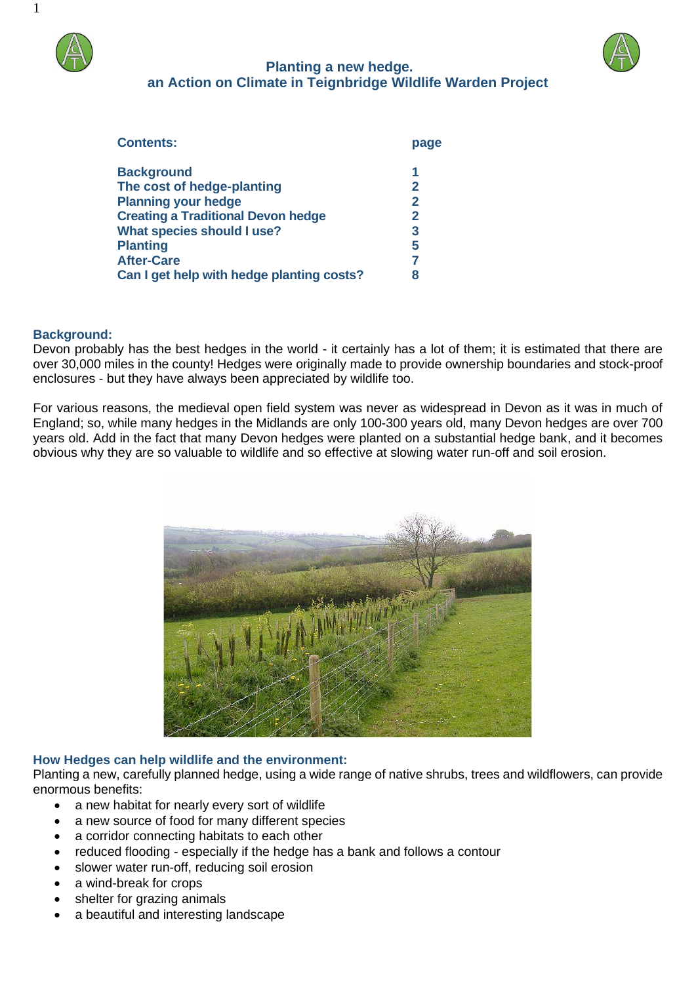

# **Planting a new hedge. an Action on Climate in Teignbridge Wildlife Warden Project**



| <b>Contents:</b>                          | page |
|-------------------------------------------|------|
| <b>Background</b>                         | 1    |
| The cost of hedge-planting                | 2    |
| <b>Planning your hedge</b>                | 2    |
| <b>Creating a Traditional Devon hedge</b> | 2    |
| What species should I use?                | 3    |
| <b>Planting</b>                           | 5    |
| <b>After-Care</b>                         |      |
| Can I get help with hedge planting costs? | 8    |

#### **Background:**

Devon probably has the best hedges in the world - it certainly has a lot of them; it is estimated that there are over 30,000 miles in the county! Hedges were originally made to provide ownership boundaries and stock-proof enclosures - but they have always been appreciated by wildlife too.

For various reasons, the medieval open field system was never as widespread in Devon as it was in much of England; so, while many hedges in the Midlands are only 100-300 years old, many Devon hedges are over 700 years old. Add in the fact that many Devon hedges were planted on a substantial hedge bank, and it becomes obvious why they are so valuable to wildlife and so effective at slowing water run-off and soil erosion.



#### **How Hedges can help wildlife and the environment:**

Planting a new, carefully planned hedge, using a wide range of native shrubs, trees and wildflowers, can provide enormous benefits:

- a new habitat for nearly every sort of wildlife
- a new source of food for many different species
- a corridor connecting habitats to each other
- reduced flooding especially if the hedge has a bank and follows a contour
- slower water run-off, reducing soil erosion
- a wind-break for crops
- shelter for grazing animals
- a beautiful and interesting landscape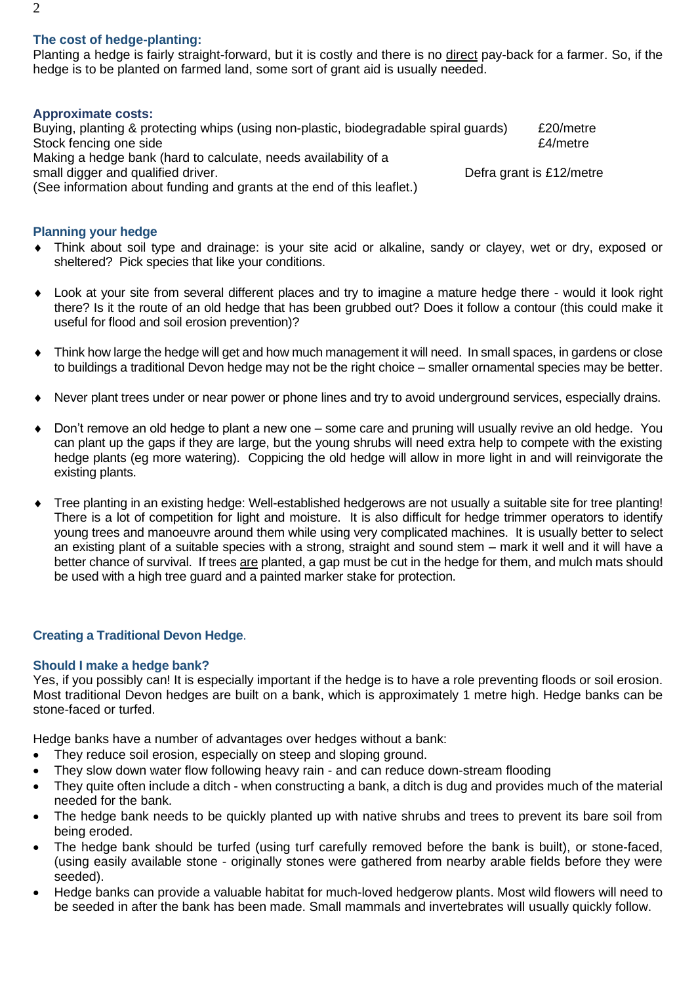## **The cost of hedge-planting:**

Planting a hedge is fairly straight-forward, but it is costly and there is no direct pay-back for a farmer. So, if the hedge is to be planted on farmed land, some sort of grant aid is usually needed.

#### **Approximate costs:**

Buying, planting & protecting whips (using non-plastic, biodegradable spiral guards) £20/metre Stock fencing one side **E4/metre E4/metre** Making a hedge bank (hard to calculate, needs availability of a small digger and qualified driver. (See information about funding and grants at the end of this leaflet.)

### **Planning your hedge**

- Think about soil type and drainage: is your site acid or alkaline, sandy or clayey, wet or dry, exposed or sheltered? Pick species that like your conditions.
- Look at your site from several different places and try to imagine a mature hedge there would it look right there? Is it the route of an old hedge that has been grubbed out? Does it follow a contour (this could make it useful for flood and soil erosion prevention)?
- Think how large the hedge will get and how much management it will need. In small spaces, in gardens or close to buildings a traditional Devon hedge may not be the right choice – smaller ornamental species may be better.
- Never plant trees under or near power or phone lines and try to avoid underground services, especially drains.
- Don't remove an old hedge to plant a new one some care and pruning will usually revive an old hedge. You can plant up the gaps if they are large, but the young shrubs will need extra help to compete with the existing hedge plants (eg more watering). Coppicing the old hedge will allow in more light in and will reinvigorate the existing plants.
- Tree planting in an existing hedge: Well-established hedgerows are not usually a suitable site for tree planting! There is a lot of competition for light and moisture. It is also difficult for hedge trimmer operators to identify young trees and manoeuvre around them while using very complicated machines. It is usually better to select an existing plant of a suitable species with a strong, straight and sound stem – mark it well and it will have a better chance of survival. If trees are planted, a gap must be cut in the hedge for them, and mulch mats should be used with a high tree guard and a painted marker stake for protection.

## **Creating a Traditional Devon Hedge**.

#### **Should I make a hedge bank?**

Yes, if you possibly can! It is especially important if the hedge is to have a role preventing floods or soil erosion. Most traditional Devon hedges are built on a bank, which is approximately 1 metre high. Hedge banks can be stone-faced or turfed.

Hedge banks have a number of advantages over hedges without a bank:

- They reduce soil erosion, especially on steep and sloping ground.
- They slow down water flow following heavy rain and can reduce down-stream flooding
- They quite often include a ditch when constructing a bank, a ditch is dug and provides much of the material needed for the bank.
- The hedge bank needs to be quickly planted up with native shrubs and trees to prevent its bare soil from being eroded.
- The hedge bank should be turfed (using turf carefully removed before the bank is built), or stone-faced, (using easily available stone - originally stones were gathered from nearby arable fields before they were seeded).
- Hedge banks can provide a valuable habitat for much-loved hedgerow plants. Most wild flowers will need to be seeded in after the bank has been made. Small mammals and invertebrates will usually quickly follow.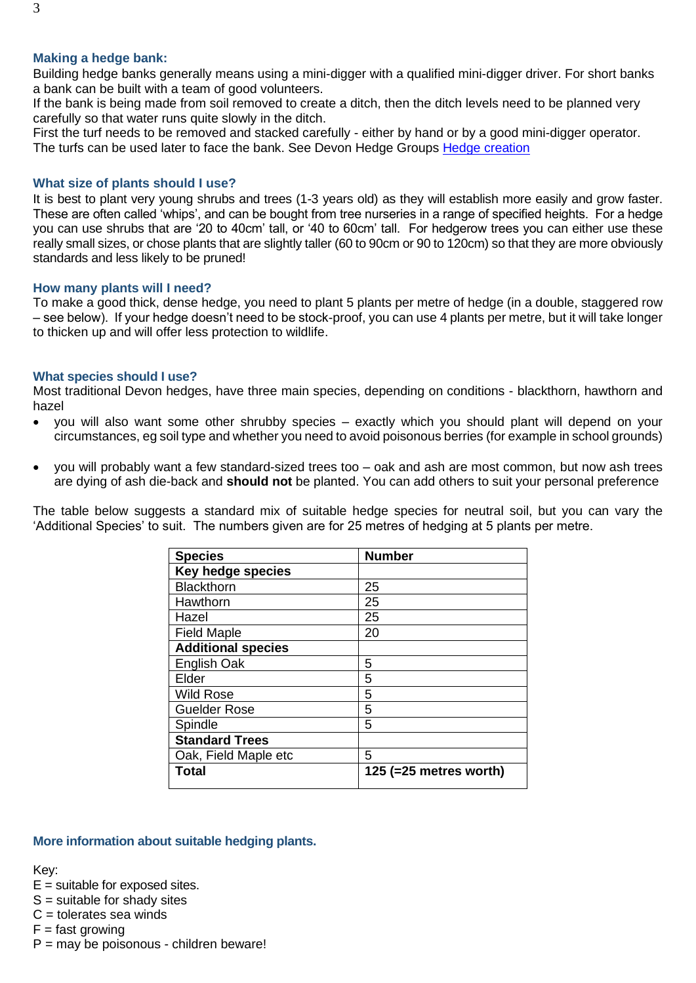#### **Making a hedge bank:**

Building hedge banks generally means using a mini-digger with a qualified mini-digger driver. For short banks a bank can be built with a team of good volunteers.

If the bank is being made from soil removed to create a ditch, then the ditch levels need to be planned very carefully so that water runs quite slowly in the ditch.

First the turf needs to be removed and stacked carefully - either by hand or by a good mini-digger operator. The turfs can be used later to face the bank. See Devon Hedge Groups [Hedge creation](https://devonhedges.org/wp-content/uploads/2015/11/8_Hedge-Creation-1.pdf)

#### **What size of plants should I use?**

It is best to plant very young shrubs and trees (1-3 years old) as they will establish more easily and grow faster. These are often called 'whips', and can be bought from tree nurseries in a range of specified heights. For a hedge you can use shrubs that are '20 to 40cm' tall, or '40 to 60cm' tall. For hedgerow trees you can either use these really small sizes, or chose plants that are slightly taller (60 to 90cm or 90 to 120cm) so that they are more obviously standards and less likely to be pruned!

#### **How many plants will I need?**

To make a good thick, dense hedge, you need to plant 5 plants per metre of hedge (in a double, staggered row – see below). If your hedge doesn't need to be stock-proof, you can use 4 plants per metre, but it will take longer to thicken up and will offer less protection to wildlife.

#### **What species should I use?**

Most traditional Devon hedges, have three main species, depending on conditions - blackthorn, hawthorn and hazel

- you will also want some other shrubby species exactly which you should plant will depend on your circumstances, eg soil type and whether you need to avoid poisonous berries (for example in school grounds)
- you will probably want a few standard-sized trees too oak and ash are most common, but now ash trees are dying of ash die-back and **should not** be planted. You can add others to suit your personal preference

The table below suggests a standard mix of suitable hedge species for neutral soil, but you can vary the 'Additional Species' to suit. The numbers given are for 25 metres of hedging at 5 plants per metre.

| <b>Species</b>            | <b>Number</b>             |  |
|---------------------------|---------------------------|--|
| Key hedge species         |                           |  |
| <b>Blackthorn</b>         | 25                        |  |
| Hawthorn                  | 25                        |  |
| Hazel                     | 25                        |  |
| <b>Field Maple</b>        | 20                        |  |
| <b>Additional species</b> |                           |  |
| <b>English Oak</b>        | 5                         |  |
| Elder                     | 5                         |  |
| <b>Wild Rose</b>          | 5                         |  |
| <b>Guelder Rose</b>       | 5                         |  |
| Spindle                   | 5                         |  |
| <b>Standard Trees</b>     |                           |  |
| Oak, Field Maple etc      | 5                         |  |
| Total                     | 125 (= $25$ metres worth) |  |

#### **More information about suitable hedging plants.**

Key:

- $E =$  suitable for exposed sites.
- $S =$  suitable for shady sites
- $C =$  tolerates sea winds
- $F =$  fast growing
- P = may be poisonous children beware!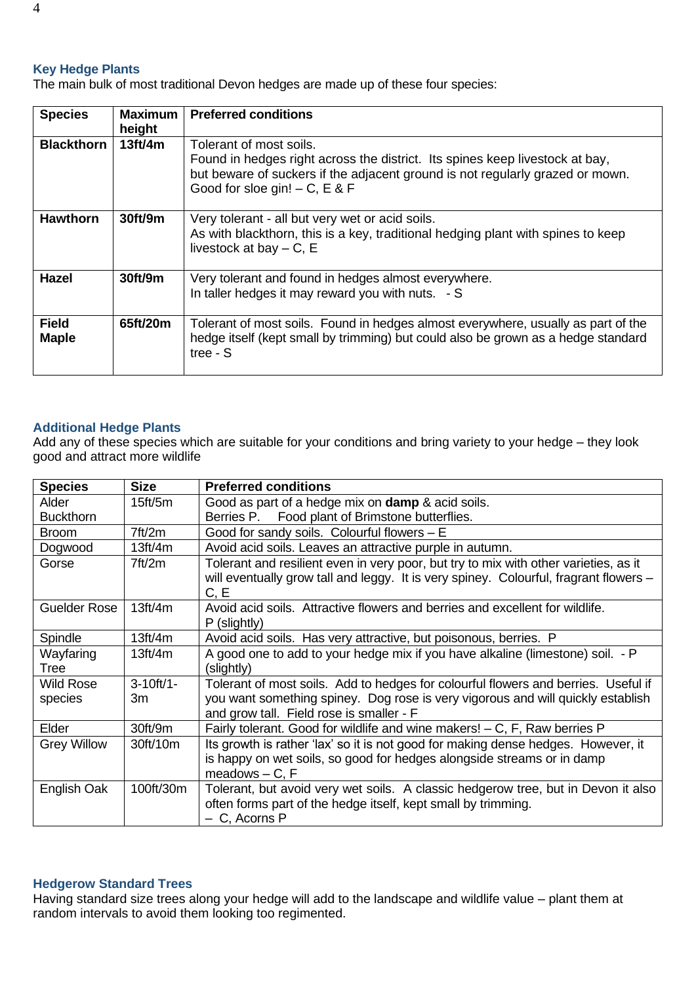#### **Key Hedge Plants**

The main bulk of most traditional Devon hedges are made up of these four species:

| <b>Species</b>               | <b>Maximum</b><br>height | <b>Preferred conditions</b>                                                                                                                                                                                                  |
|------------------------------|--------------------------|------------------------------------------------------------------------------------------------------------------------------------------------------------------------------------------------------------------------------|
| <b>Blackthorn</b>            | 13ft/4m                  | Tolerant of most soils.<br>Found in hedges right across the district. Its spines keep livestock at bay,<br>but beware of suckers if the adjacent ground is not regularly grazed or mown.<br>Good for sloe gin! $- C$ , E & F |
| <b>Hawthorn</b>              | 30ft/9m                  | Very tolerant - all but very wet or acid soils.<br>As with blackthorn, this is a key, traditional hedging plant with spines to keep<br>livestock at bay $-$ C, E                                                             |
| <b>Hazel</b>                 | 30ft/9m                  | Very tolerant and found in hedges almost everywhere.<br>In taller hedges it may reward you with nuts. - S                                                                                                                    |
| <b>Field</b><br><b>Maple</b> | 65ft/20m                 | Tolerant of most soils. Found in hedges almost everywhere, usually as part of the<br>hedge itself (kept small by trimming) but could also be grown as a hedge standard<br>tree - $S$                                         |

#### **Additional Hedge Plants**

Add any of these species which are suitable for your conditions and bring variety to your hedge – they look good and attract more wildlife

| <b>Species</b>      | <b>Size</b>    | <b>Preferred conditions</b>                                                                                                                                                           |
|---------------------|----------------|---------------------------------------------------------------------------------------------------------------------------------------------------------------------------------------|
| Alder               | 15ft/5m        | Good as part of a hedge mix on <b>damp</b> & acid soils.                                                                                                                              |
| <b>Buckthorn</b>    |                | Berries P. Food plant of Brimstone butterflies.                                                                                                                                       |
| Broom               | 7ft/2m         | Good for sandy soils. Colourful flowers $- E$                                                                                                                                         |
| Dogwood             | 13ft/4m        | Avoid acid soils. Leaves an attractive purple in autumn.                                                                                                                              |
| Gorse               | 7ft/2m         | Tolerant and resilient even in very poor, but try to mix with other varieties, as it<br>will eventually grow tall and leggy. It is very spiney. Colourful, fragrant flowers -<br>C, E |
| <b>Guelder Rose</b> | 13ft/4m        | Avoid acid soils. Attractive flowers and berries and excellent for wildlife.<br>P (slightly)                                                                                          |
| Spindle             | 13ft/4m        | Avoid acid soils. Has very attractive, but poisonous, berries. P                                                                                                                      |
| Wayfaring           | 13ft/4m        | A good one to add to your hedge mix if you have alkaline (limestone) soil. - P                                                                                                        |
| Tree                |                | (slightly)                                                                                                                                                                            |
| Wild Rose           | $3 - 10ft/1 -$ | Tolerant of most soils. Add to hedges for colourful flowers and berries. Useful if                                                                                                    |
| species             | 3m             | you want something spiney. Dog rose is very vigorous and will quickly establish<br>and grow tall. Field rose is smaller - F                                                           |
| Elder               | 30ft/9m        | Fairly tolerant. Good for wildlife and wine makers! – C, F, Raw berries P                                                                                                             |
| <b>Grey Willow</b>  | 30ft/10m       | Its growth is rather 'lax' so it is not good for making dense hedges. However, it                                                                                                     |
|                     |                | is happy on wet soils, so good for hedges alongside streams or in damp<br>$meadows - C$ . F                                                                                           |
| English Oak         | 100ft/30m      | Tolerant, but avoid very wet soils. A classic hedgerow tree, but in Devon it also                                                                                                     |
|                     |                | often forms part of the hedge itself, kept small by trimming.                                                                                                                         |
|                     |                | - C, Acorns P                                                                                                                                                                         |

#### **Hedgerow Standard Trees**

Having standard size trees along your hedge will add to the landscape and wildlife value – plant them at random intervals to avoid them looking too regimented.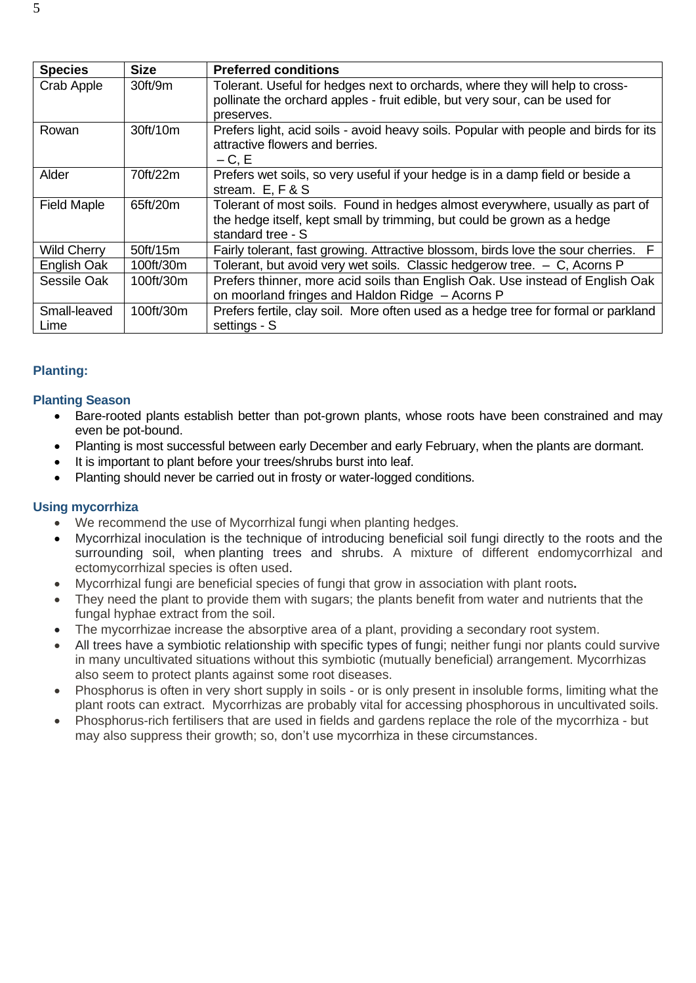| <b>Species</b>     | <b>Size</b> | <b>Preferred conditions</b>                                                          |
|--------------------|-------------|--------------------------------------------------------------------------------------|
| Crab Apple         | 30 ft/9m    | Tolerant. Useful for hedges next to orchards, where they will help to cross-         |
|                    |             | pollinate the orchard apples - fruit edible, but very sour, can be used for          |
|                    |             | preserves.                                                                           |
| Rowan              | 30ft/10m    | Prefers light, acid soils - avoid heavy soils. Popular with people and birds for its |
|                    |             | attractive flowers and berries.                                                      |
|                    |             | $-C, E$                                                                              |
| Alder              | 70ft/22m    | Prefers wet soils, so very useful if your hedge is in a damp field or beside a       |
|                    |             | stream. E, F & S                                                                     |
| <b>Field Maple</b> | 65ft/20m    | Tolerant of most soils. Found in hedges almost everywhere, usually as part of        |
|                    |             | the hedge itself, kept small by trimming, but could be grown as a hedge              |
|                    |             | standard tree - S                                                                    |
| <b>Wild Cherry</b> | 50ft/15m    | Fairly tolerant, fast growing. Attractive blossom, birds love the sour cherries.     |
| English Oak        | 100ft/30m   | Tolerant, but avoid very wet soils. Classic hedgerow tree. $-$ C, Acorns P           |
| Sessile Oak        | 100ft/30m   | Prefers thinner, more acid soils than English Oak. Use instead of English Oak        |
|                    |             | on moorland fringes and Haldon Ridge - Acorns P                                      |
| Small-leaved       | 100ft/30m   | Prefers fertile, clay soil. More often used as a hedge tree for formal or parkland   |
| Lime               |             | settings - S                                                                         |

## **Planting:**

### **Planting Season**

- Bare-rooted plants establish better than pot-grown plants, whose roots have been constrained and may even be pot-bound.
- Planting is most successful between early December and early February, when the plants are dormant.
- It is important to plant before your trees/shrubs burst into leaf.
- Planting should never be carried out in frosty or water-logged conditions.

#### **Using mycorrhiza**

- We recommend the use of Mycorrhizal fungi when planting hedges.
- Mycorrhizal inoculation is the technique of introducing beneficial soil fungi directly to the roots and the surrounding soil, when planting trees and shrubs. A mixture of different endomycorrhizal and ectomycorrhizal species is often used.
- Mycorrhizal fungi are beneficial species of fungi that grow in association with plant roots**.**
- They need the plant to provide them with sugars; the plants benefit from water and nutrients that the fungal hyphae extract from the soil.
- The mycorrhizae increase the absorptive area of a plant, providing a secondary root system.
- All trees have a symbiotic relationship with specific types of fungi; neither fungi nor plants could survive in many uncultivated situations without this symbiotic (mutually beneficial) arrangement. Mycorrhizas also seem to protect plants against some root diseases.
- Phosphorus is often in very short supply in soils or is only present in insoluble forms, limiting what the plant roots can extract. Mycorrhizas are probably vital for accessing phosphorous in uncultivated soils.
- Phosphorus-rich fertilisers that are used in fields and gardens replace the role of the mycorrhiza but may also suppress their growth; so, don't use mycorrhiza in these circumstances.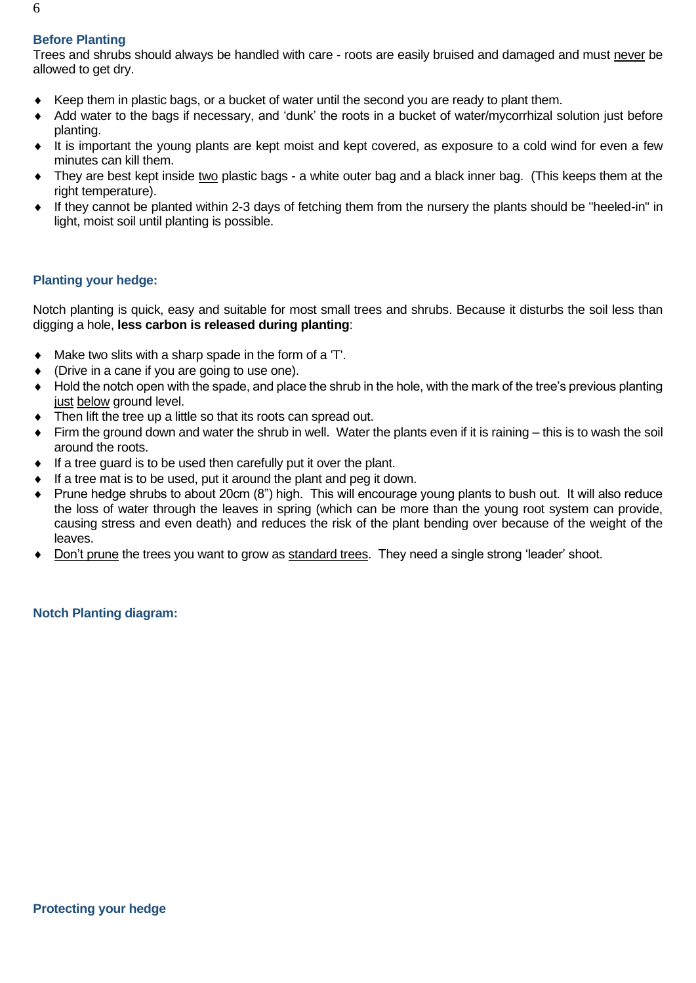## **Before Planting**

Trees and shrubs should always be handled with care - roots are easily bruised and damaged and must never be allowed to get dry.

- $\bullet$  Keep them in plastic bags, or a bucket of water until the second you are ready to plant them.
- Add water to the bags if necessary, and 'dunk' the roots in a bucket of water/mycorrhizal solution just before planting.
- It is important the young plants are kept moist and kept covered, as exposure to a cold wind for even a few minutes can kill them.
- They are best kept inside two plastic bags a white outer bag and a black inner bag. (This keeps them at the right temperature).
- If they cannot be planted within 2-3 days of fetching them from the nursery the plants should be "heeled-in" in light, moist soil until planting is possible.

### **Planting your hedge:**

Notch planting is quick, easy and suitable for most small trees and shrubs. Because it disturbs the soil less than digging a hole, **less carbon is released during planting**:

- Make two slits with a sharp spade in the form of a 'T'.
- (Drive in a cane if you are going to use one).
- Hold the notch open with the spade, and place the shrub in the hole, with the mark of the tree's previous planting just below ground level.
- Then lift the tree up a little so that its roots can spread out.
- Firm the ground down and water the shrub in well. Water the plants even if it is raining  $-$  this is to wash the soil around the roots.
- $\bullet$  If a tree guard is to be used then carefully put it over the plant.
- $\bullet$  If a tree mat is to be used, put it around the plant and peg it down.
- Prune hedge shrubs to about 20cm (8") high. This will encourage young plants to bush out. It will also reduce the loss of water through the leaves in spring (which can be more than the young root system can provide, causing stress and even death) and reduces the risk of the plant bending over because of the weight of the leaves.
- Don't prune the trees you want to grow as standard trees. They need a single strong 'leader' shoot.

**Notch Planting diagram:**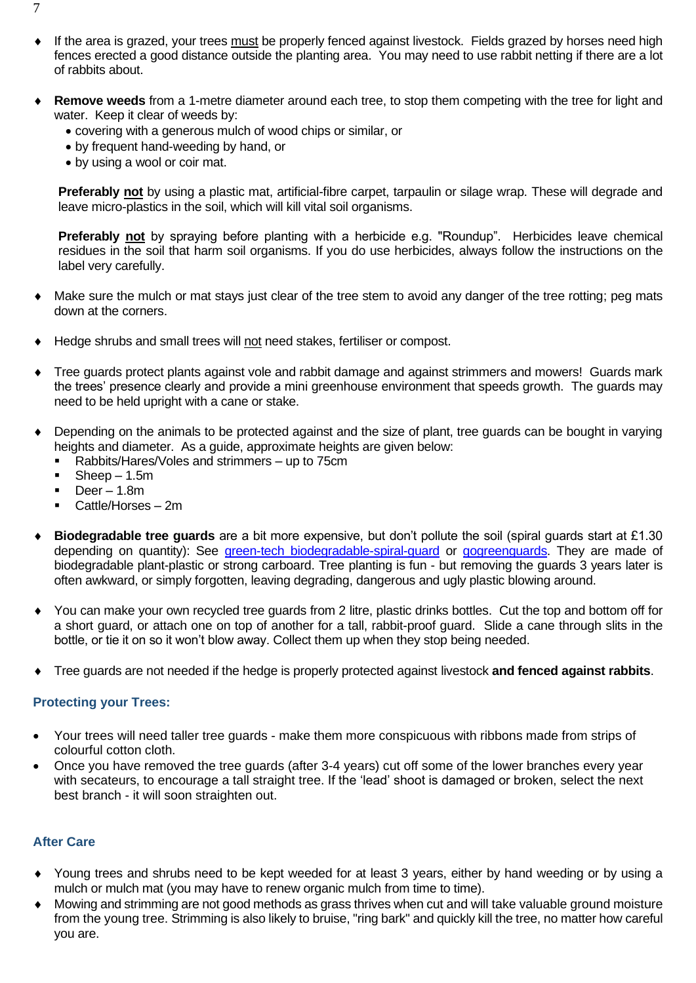- If the area is grazed, your trees must be properly fenced against livestock. Fields grazed by horses need high fences erected a good distance outside the planting area. You may need to use rabbit netting if there are a lot of rabbits about.
- **Remove weeds** from a 1-metre diameter around each tree, to stop them competing with the tree for light and water. Keep it clear of weeds by:
	- covering with a generous mulch of wood chips or similar, or
	- by frequent hand-weeding by hand, or
	- by using a wool or coir mat.

**Preferably not** by using a plastic mat, artificial-fibre carpet, tarpaulin or silage wrap. These will degrade and leave micro-plastics in the soil, which will kill vital soil organisms.

**Preferably not** by spraying before planting with a herbicide e.g. "Roundup". Herbicides leave chemical residues in the soil that harm soil organisms. If you do use herbicides, always follow the instructions on the label very carefully.

- Make sure the mulch or mat stays just clear of the tree stem to avoid any danger of the tree rotting; peg mats down at the corners.
- Hedge shrubs and small trees will not need stakes, fertiliser or compost.
- Tree guards protect plants against vole and rabbit damage and against strimmers and mowers! Guards mark the trees' presence clearly and provide a mini greenhouse environment that speeds growth. The guards may need to be held upright with a cane or stake.
- Depending on the animals to be protected against and the size of plant, tree guards can be bought in varying heights and diameter. As a guide, approximate heights are given below:
	- Rabbits/Hares/Voles and strimmers up to 75cm
	- $\blacksquare$  Sheep 1.5m
	- $\blacksquare$  Deer 1.8m
	- Cattle/Horses 2m
- **Biodegradable tree guards** are a bit more expensive, but don't pollute the soil (spiral guards start at £1.30 depending on quantity): See [green-tech biodegradable-spiral-guard](https://www.green-tech.co.uk/tree-planting-products/treebio-biodegradable-tree-planting-products/treebio-biodegradable-spiral-guard) or [gogreenguards.](https://gogreenguards.com/) They are made of biodegradable plant-plastic or strong carboard. Tree planting is fun - but removing the guards 3 years later is often awkward, or simply forgotten, leaving degrading, dangerous and ugly plastic blowing around.
- You can make your own recycled tree guards from 2 litre, plastic drinks bottles. Cut the top and bottom off for a short guard, or attach one on top of another for a tall, rabbit-proof guard. Slide a cane through slits in the bottle, or tie it on so it won't blow away. Collect them up when they stop being needed.
- Tree guards are not needed if the hedge is properly protected against livestock **and fenced against rabbits**.

#### **Protecting your Trees:**

- Your trees will need taller tree guards make them more conspicuous with ribbons made from strips of colourful cotton cloth.
- Once you have removed the tree guards (after 3-4 years) cut off some of the lower branches every year with secateurs, to encourage a tall straight tree. If the 'lead' shoot is damaged or broken, select the next best branch - it will soon straighten out.

#### **After Care**

- Young trees and shrubs need to be kept weeded for at least 3 years, either by hand weeding or by using a mulch or mulch mat (you may have to renew organic mulch from time to time).
- Mowing and strimming are not good methods as grass thrives when cut and will take valuable ground moisture from the young tree. Strimming is also likely to bruise, "ring bark" and quickly kill the tree, no matter how careful you are.

7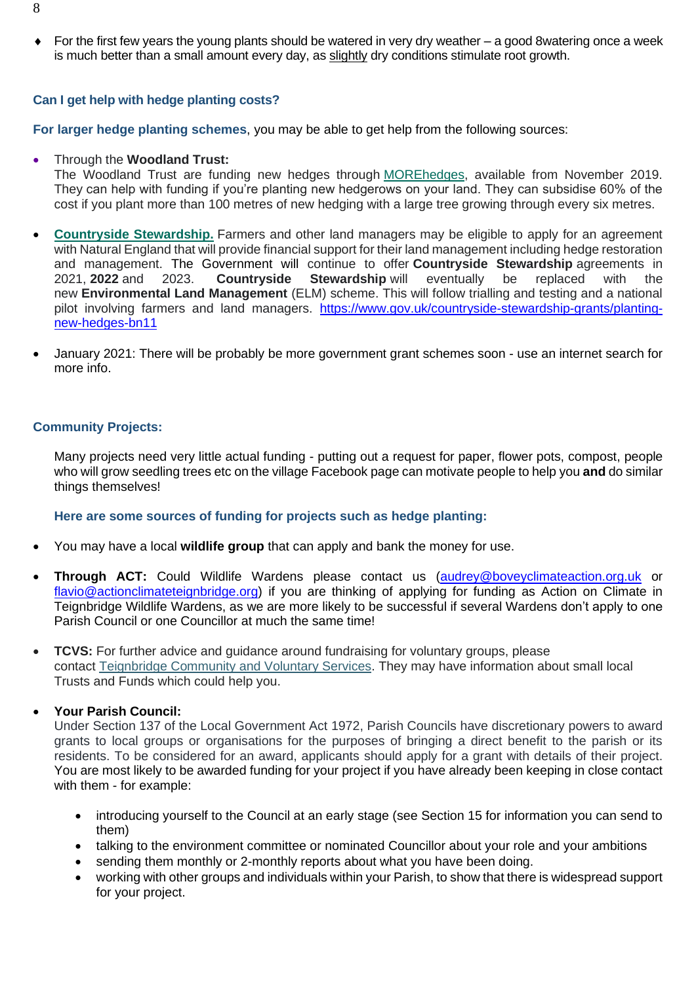For the first few years the young plants should be watered in very dry weather – a good 8watering once a week is much better than a small amount every day, as slightly dry conditions stimulate root growth.

#### **Can I get help with hedge planting costs?**

**For larger hedge planting schemes**, you may be able to get help from the following sources:

#### • Through the **Woodland Trust:**

The Woodland Trust are funding new hedges through [MOREhedges,](https://www.woodlandtrust.org.uk/plant-trees/large-scale-planting/morewoods-application/) available from November 2019. They can help with funding if you're planting new hedgerows on your land. They can subsidise 60% of the cost if you plant more than 100 metres of new hedging with a large tree growing through every six metres.

- **Countryside [Stewardship.](https://www.woodlandtrust.org.uk/plant-trees/large-scale-planting/morewoods-application/)** Farmers and other land managers may be eligible to apply for an agreement with Natural England that will provide financial support for their land management including hedge restoration and management. The Government will continue to offer **Countryside Stewardship** agreements in 2021, **2022** and 2023. **Countryside Stewardship** will eventually be replaced with the new **Environmental Land Management** (ELM) scheme. This will follow trialling and testing and a national pilot involving farmers and land managers. [https://www.gov.uk/countryside-stewardship-grants/planting](https://www.gov.uk/countryside-stewardship-grants/planting-new-hedges-bn11)[new-hedges-bn11](https://www.gov.uk/countryside-stewardship-grants/planting-new-hedges-bn11)
- January 2021: There will be probably be more government grant schemes soon use an internet search for more info.

### **Community Projects:**

Many projects need very little actual funding - putting out a request for paper, flower pots, compost, people who will grow seedling trees etc on the village Facebook page can motivate people to help you **and** do similar things themselves!

#### **Here are some sources of funding for projects such as hedge planting:**

- You may have a local **wildlife group** that can apply and bank the money for use.
- **Through ACT:** Could Wildlife Wardens please contact us [\(audrey@boveyclimateaction.org.uk](mailto:audrey@boveyclimateaction.org.uk) or [flavio@actionclimateteignbridge.org\)](mailto:flavio@actionclimateteignbridge.org) if you are thinking of applying for funding as Action on Climate in Teignbridge Wildlife Wardens, as we are more likely to be successful if several Wardens don't apply to one Parish Council or one Councillor at much the same time!
- **TCVS:** For further advice and quidance around fundraising for voluntary groups, please contact [Teignbridge Community and Voluntary Services.](http://www.teigncvs.org.uk/supporting-your-group/funding-fundraising/) They may have information about small local Trusts and Funds which could help you.

#### • **Your Parish Council:**

Under Section 137 of the Local Government Act 1972, Parish Councils have discretionary powers to award grants to local groups or organisations for the purposes of bringing a direct benefit to the parish or its residents. To be considered for an award, applicants should apply for a grant with details of their project. You are most likely to be awarded funding for your project if you have already been keeping in close contact with them - for example:

- introducing yourself to the Council at an early stage (see Section 15 for information you can send to them)
- talking to the environment committee or nominated Councillor about your role and your ambitions
- sending them monthly or 2-monthly reports about what you have been doing.
- working with other groups and individuals within your Parish, to show that there is widespread support for your project.

8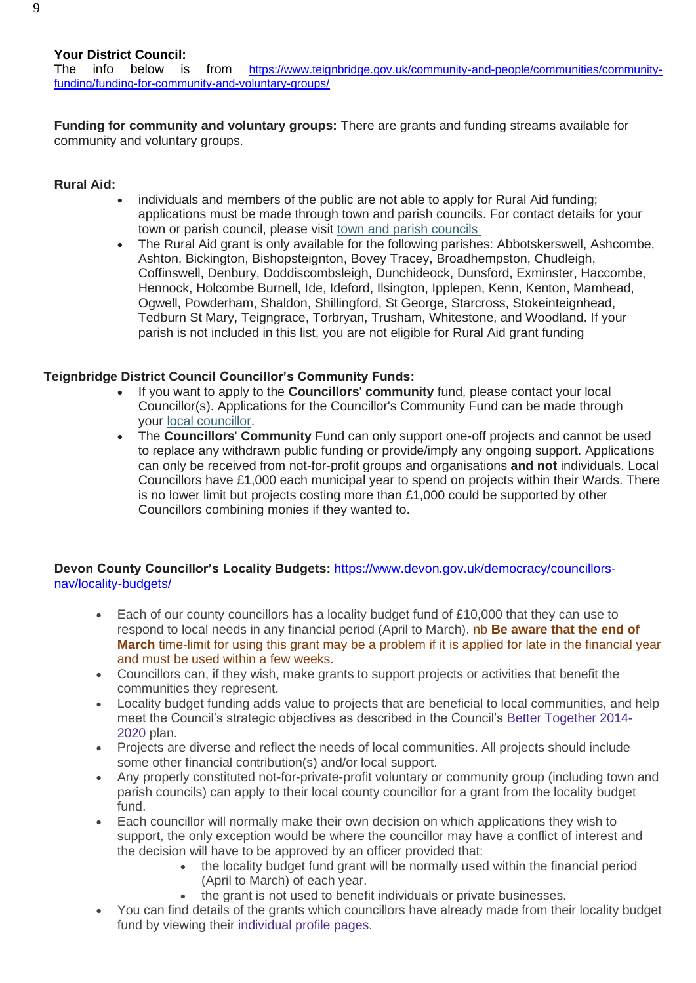The info below is from [https://www.teignbridge.gov.uk/community-and-people/communities/community](https://www.teignbridge.gov.uk/community-and-people/communities/community-funding/funding-for-community-and-voluntary-groups/)[funding/funding-for-community-and-voluntary-groups/](https://www.teignbridge.gov.uk/community-and-people/communities/community-funding/funding-for-community-and-voluntary-groups/)

**Funding for community and voluntary groups:** There are grants and funding streams available for community and voluntary groups.

# **Rural Aid:**

- individuals and members of the public are not able to apply for Rural Aid funding; applications must be made through town and parish councils. For contact details for your town or parish council, please visit [town and parish](https://democracy.teignbridge.gov.uk/mgParishCouncilDetails.aspx?bcr=1) councils
- The Rural Aid grant is only available for the following parishes: Abbotskerswell, Ashcombe, Ashton, Bickington, Bishopsteignton, Bovey Tracey, Broadhempston, Chudleigh, Coffinswell, Denbury, Doddiscombsleigh, Dunchideock, Dunsford, Exminster, Haccombe, Hennock, Holcombe Burnell, Ide, Ideford, Ilsington, Ipplepen, Kenn, Kenton, Mamhead, Ogwell, Powderham, Shaldon, Shillingford, St George, Starcross, Stokeinteignhead, Tedburn St Mary, Teigngrace, Torbryan, Trusham, Whitestone, and Woodland. If your parish is not included in this list, you are not eligible for Rural Aid grant funding

# **Teignbridge District Council Councillor's Community Funds:**

- If you want to apply to the **Councillors**' **community** fund, please contact your local Councillor(s). Applications for the Councillor's Community Fund can be made through your [local councillor.](https://democracy.teignbridge.gov.uk/mgMemberIndex.aspx?FN=WARD&VW=LIST&PIC=0)
- The **Councillors**' **Community** Fund can only support one-off projects and cannot be used to replace any withdrawn public funding or provide/imply any ongoing support. Applications can only be received from not-for-profit groups and organisations **and not** individuals. Local Councillors have £1,000 each municipal year to spend on projects within their Wards. There is no lower limit but projects costing more than £1,000 could be supported by other Councillors combining monies if they wanted to.

## **Devon County Councillor's Locality Budgets:** [https://www.devon.gov.uk/democracy/councillors](https://www.devon.gov.uk/democracy/councillors-nav/locality-budgets/)[nav/locality-budgets/](https://www.devon.gov.uk/democracy/councillors-nav/locality-budgets/)

- Each of our county councillors has a locality budget fund of £10,000 that they can use to respond to local needs in any financial period (April to March). nb **Be aware that the end of March** time-limit for using this grant may be a problem if it is applied for late in the financial year and must be used within a few weeks.
- Councillors can, if they wish, make grants to support projects or activities that benefit the communities they represent.
- Locality budget funding adds value to projects that are beneficial to local communities, and help meet the Council's strategic objectives as described in the Council's [Better Together 2014-](https://www.devon.gov.uk/bettertogether/) [2020](https://www.devon.gov.uk/bettertogether/) plan.
- Projects are diverse and reflect the needs of local communities. All projects should include some other financial contribution(s) and/or local support.
- Any properly constituted not-for-private-profit voluntary or community group (including town and parish councils) can apply to their local county councillor for a grant from the locality budget fund.
- Each councillor will normally make their own decision on which applications they wish to support, the only exception would be where the councillor may have a conflict of interest and the decision will have to be approved by an officer provided that:
	- the locality budget fund grant will be normally used within the financial period (April to March) of each year.
	- the grant is not used to benefit individuals or private businesses.
- You can find details of the grants which councillors have already made from their locality budget fund by viewing their individual [profile pages.](https://democracy.devon.gov.uk/mgMemberIndex.aspx?bcr=1)